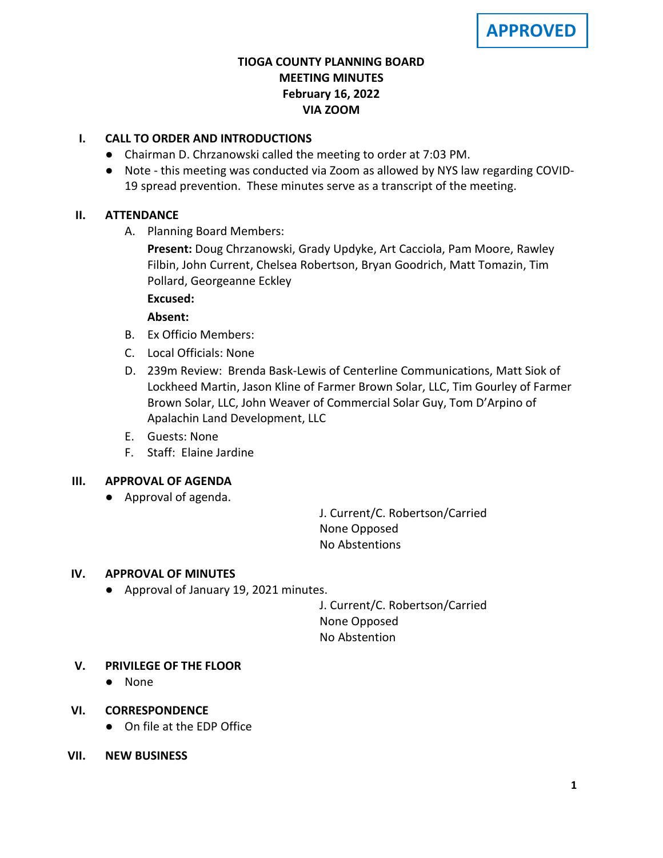## **TIOGA COUNTY PLANNING BOARD MEETING MINUTES February 16, 2022 VIA ZOOM**

## **I. CALL TO ORDER AND INTRODUCTIONS**

- Chairman D. Chrzanowski called the meeting to order at 7:03 PM.
- Note this meeting was conducted via Zoom as allowed by NYS law regarding COVID-19 spread prevention. These minutes serve as a transcript of the meeting.

## **II. ATTENDANCE**

A. Planning Board Members:

**Present:** Doug Chrzanowski, Grady Updyke, Art Cacciola, Pam Moore, Rawley Filbin, John Current, Chelsea Robertson, Bryan Goodrich, Matt Tomazin, Tim Pollard, Georgeanne Eckley

## **Excused:**

**Absent:**

- B. Ex Officio Members:
- C. Local Officials: None
- D. 239m Review: Brenda Bask-Lewis of Centerline Communications, Matt Siok of Lockheed Martin, Jason Kline of Farmer Brown Solar, LLC, Tim Gourley of Farmer Brown Solar, LLC, John Weaver of Commercial Solar Guy, Tom D'Arpino of Apalachin Land Development, LLC
- E. Guests: None
- F. Staff: Elaine Jardine

## **III. APPROVAL OF AGENDA**

● Approval of agenda.

J. Current/C. Robertson/Carried None Opposed No Abstentions

## **IV. APPROVAL OF MINUTES**

● Approval of January 19, 2021 minutes.

J. Current/C. Robertson/Carried None Opposed No Abstention

## **V. PRIVILEGE OF THE FLOOR**

- None
- **VI. CORRESPONDENCE**
	- On file at the EDP Office
- **VII. NEW BUSINESS**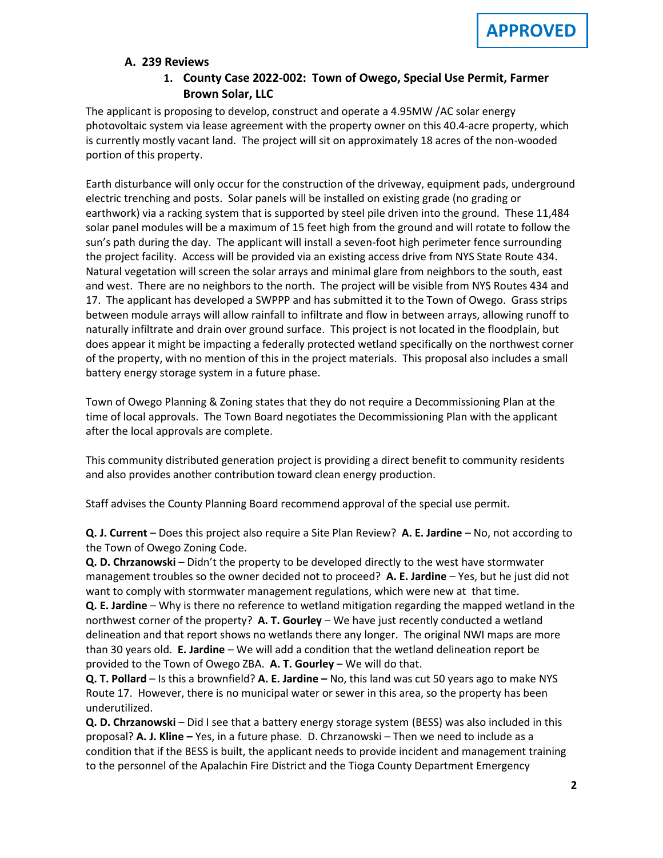#### **A. A. 239 Reviews**

## **1. County Case 2022-002: Town of Owego, Special Use Permit, Farmer Brown Solar, LLC**

The applicant is proposing to develop, construct and operate a 4.95MW /AC solar energy photovoltaic system via lease agreement with the property owner on this 40.4-acre property, which is currently mostly vacant land. The project will sit on approximately 18 acres of the non-wooded portion of this property.

Earth disturbance will only occur for the construction of the driveway, equipment pads, underground electric trenching and posts. Solar panels will be installed on existing grade (no grading or earthwork) via a racking system that is supported by steel pile driven into the ground. These 11,484 solar panel modules will be a maximum of 15 feet high from the ground and will rotate to follow the sun's path during the day. The applicant will install a seven-foot high perimeter fence surrounding the project facility. Access will be provided via an existing access drive from NYS State Route 434. Natural vegetation will screen the solar arrays and minimal glare from neighbors to the south, east and west. There are no neighbors to the north. The project will be visible from NYS Routes 434 and 17. The applicant has developed a SWPPP and has submitted it to the Town of Owego. Grass strips between module arrays will allow rainfall to infiltrate and flow in between arrays, allowing runoff to naturally infiltrate and drain over ground surface. This project is not located in the floodplain, but does appear it might be impacting a federally protected wetland specifically on the northwest corner of the property, with no mention of this in the project materials. This proposal also includes a small battery energy storage system in a future phase.

Town of Owego Planning & Zoning states that they do not require a Decommissioning Plan at the time of local approvals. The Town Board negotiates the Decommissioning Plan with the applicant after the local approvals are complete.

This community distributed generation project is providing a direct benefit to community residents and also provides another contribution toward clean energy production.

Staff advises the County Planning Board recommend approval of the special use permit.

**Q. J. Current** – Does this project also require a Site Plan Review? **A. E. Jardine** – No, not according to the Town of Owego Zoning Code.

**Q. D. Chrzanowski** – Didn't the property to be developed directly to the west have stormwater management troubles so the owner decided not to proceed? **A. E. Jardine** – Yes, but he just did not want to comply with stormwater management regulations, which were new at that time.

**Q. E. Jardine** – Why is there no reference to wetland mitigation regarding the mapped wetland in the northwest corner of the property? **A. T. Gourley** – We have just recently conducted a wetland delineation and that report shows no wetlands there any longer. The original NWI maps are more than 30 years old. **E. Jardine** – We will add a condition that the wetland delineation report be provided to the Town of Owego ZBA. **A. T. Gourley** – We will do that.

**Q. T. Pollard** – Is this a brownfield? **A. E. Jardine –** No, this land was cut 50 years ago to make NYS Route 17. However, there is no municipal water or sewer in this area, so the property has been underutilized.

**Q. D. Chrzanowski** – Did I see that a battery energy storage system (BESS) was also included in this proposal? **A. J. Kline –** Yes, in a future phase. D. Chrzanowski – Then we need to include as a condition that if the BESS is built, the applicant needs to provide incident and management training to the personnel of the Apalachin Fire District and the Tioga County Department Emergency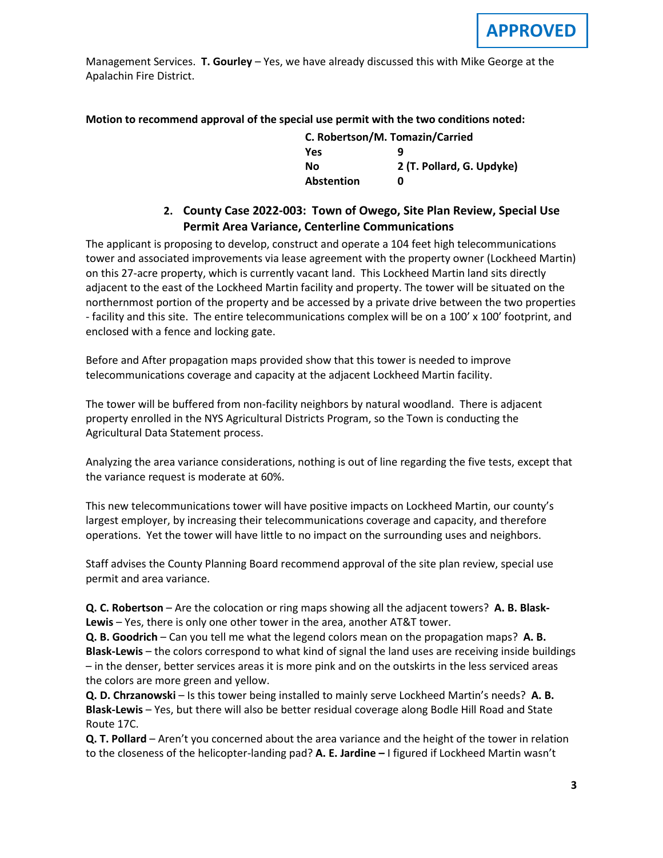Management Services. **T. Gourley** – Yes, we have already discussed this with Mike George at the Apalachin Fire District.

**Motion to recommend approval of the special use permit with the two conditions noted:**

| C. Robertson/M. Tomazin/Carried |                           |  |
|---------------------------------|---------------------------|--|
| <b>Yes</b>                      | q                         |  |
| Nο                              | 2 (T. Pollard, G. Updyke) |  |
| <b>Abstention</b>               | n                         |  |

## **2. County Case 2022-003: Town of Owego, Site Plan Review, Special Use Permit Area Variance, Centerline Communications**

The applicant is proposing to develop, construct and operate a 104 feet high telecommunications tower and associated improvements via lease agreement with the property owner (Lockheed Martin) on this 27-acre property, which is currently vacant land. This Lockheed Martin land sits directly adjacent to the east of the Lockheed Martin facility and property. The tower will be situated on the northernmost portion of the property and be accessed by a private drive between the two properties - facility and this site. The entire telecommunications complex will be on a 100' x 100' footprint, and enclosed with a fence and locking gate.

Before and After propagation maps provided show that this tower is needed to improve telecommunications coverage and capacity at the adjacent Lockheed Martin facility.

The tower will be buffered from non-facility neighbors by natural woodland. There is adjacent property enrolled in the NYS Agricultural Districts Program, so the Town is conducting the Agricultural Data Statement process.

Analyzing the area variance considerations, nothing is out of line regarding the five tests, except that the variance request is moderate at 60%.

This new telecommunications tower will have positive impacts on Lockheed Martin, our county's largest employer, by increasing their telecommunications coverage and capacity, and therefore operations. Yet the tower will have little to no impact on the surrounding uses and neighbors.

Staff advises the County Planning Board recommend approval of the site plan review, special use permit and area variance.

**Q. C. Robertson** – Are the colocation or ring maps showing all the adjacent towers? **A. B. Blask-Lewis** – Yes, there is only one other tower in the area, another AT&T tower.

**Q. B. Goodrich** – Can you tell me what the legend colors mean on the propagation maps? **A. B. Blask-Lewis** – the colors correspond to what kind of signal the land uses are receiving inside buildings – in the denser, better services areas it is more pink and on the outskirts in the less serviced areas the colors are more green and yellow.

**Q. D. Chrzanowski** – Is this tower being installed to mainly serve Lockheed Martin's needs? **A. B. Blask-Lewis** – Yes, but there will also be better residual coverage along Bodle Hill Road and State Route 17C.

**Q. T. Pollard** – Aren't you concerned about the area variance and the height of the tower in relation to the closeness of the helicopter-landing pad? **A. E. Jardine –** I figured if Lockheed Martin wasn't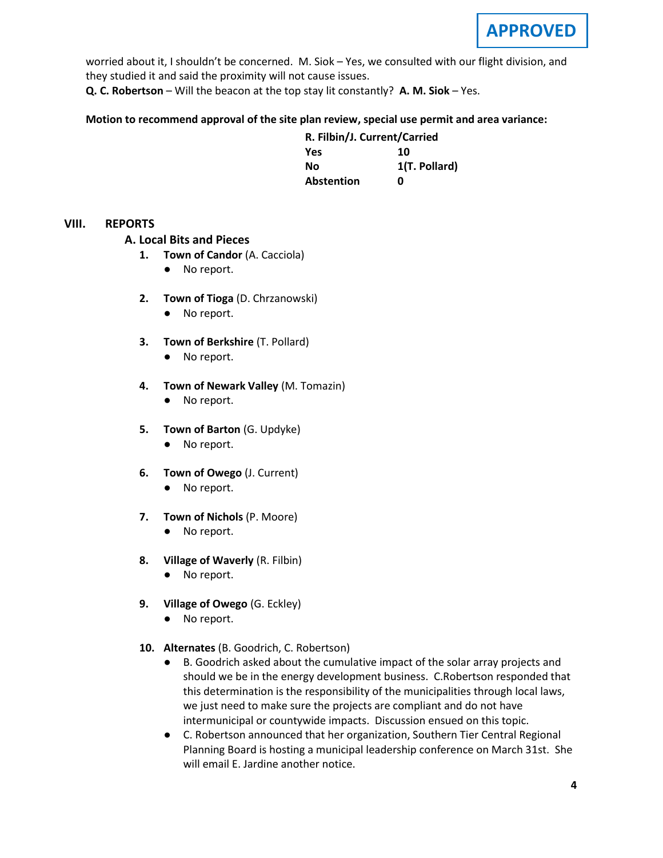

worried about it, I shouldn't be concerned. M. Siok – Yes, we consulted with our flight division, and they studied it and said the proximity will not cause issues.

**Q. C. Robertson** – Will the beacon at the top stay lit constantly? **A. M. Siok** – Yes.

#### **Motion to recommend approval of the site plan review, special use permit and area variance:**

| R. Filbin/J. Current/Carried |               |
|------------------------------|---------------|
| Yes                          | 10            |
| Nο                           | 1(T. Pollard) |
| <b>Abstention</b>            | n             |

#### **VIII. REPORTS**

#### **A. A. Local Bits and Pieces**

- **1. Town of Candor** (A. Cacciola)
	- No report.
- **2. Town of Tioga** (D. Chrzanowski)
	- No report.
- **3. Town of Berkshire** (T. Pollard)
	- No report.
- **4. Town of Newark Valley** (M. Tomazin)
	- No report.
- **5. Town of Barton** (G. Updyke)
	- No report.
- **6. Town of Owego** (J. Current)
	- No report.
- **7. Town of Nichols** (P. Moore)
	- No report.
- **8. Village of Waverly** (R. Filbin)
	- No report.
- **9. Village of Owego** (G. Eckley)
	- No report.
- **10. Alternates** (B. Goodrich, C. Robertson)
	- B. Goodrich asked about the cumulative impact of the solar array projects and should we be in the energy development business. C.Robertson responded that this determination is the responsibility of the municipalities through local laws, we just need to make sure the projects are compliant and do not have intermunicipal or countywide impacts. Discussion ensued on this topic.
	- C. Robertson announced that her organization, Southern Tier Central Regional Planning Board is hosting a municipal leadership conference on March 31st. She will email E. Jardine another notice.